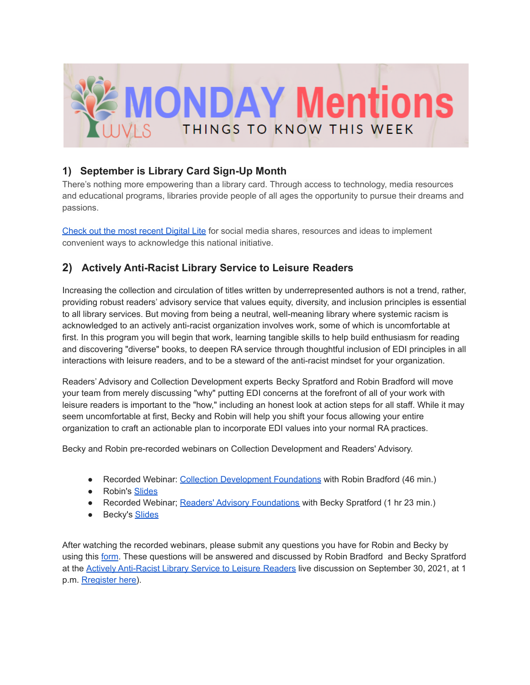

## **1) September is Library Card Sign-Up Month**

There's nothing more empowering than a library card. Through access to technology, media resources and educational programs, libraries provide people of all ages the opportunity to pursue their dreams and passions.

[Check](https://wvls.org/september-is-library-card-sign-up-month-3/) out the most recent Digital Lite for social media shares, resources and ideas to implement convenient ways to acknowledge this national initiative.

# **2) Actively Anti-Racist Library Service to Leisure Readers**

Increasing the collection and circulation of titles written by underrepresented authors is not a trend, rather, providing robust readers' advisory service that values equity, diversity, and inclusion principles is essential to all library services. But moving from being a neutral, well-meaning library where systemic racism is acknowledged to an actively anti-racist organization involves work, some of which is uncomfortable at first. In this program you will begin that work, learning tangible skills to help build enthusiasm for reading and discovering "diverse" books, to deepen RA service through thoughtful inclusion of EDI principles in all interactions with leisure readers, and to be a steward of the anti-racist mindset for your organization.

Readers' Advisory and Collection Development experts Becky Spratford and Robin Bradford will move your team from merely discussing "why" putting EDI concerns at the forefront of all of your work with leisure readers is important to the "how," including an honest look at action steps for all staff. While it may seem uncomfortable at first, Becky and Robin will help you shift your focus allowing your entire organization to craft an actionable plan to incorporate EDI values into your normal RA practices.

Becky and Robin pre-recorded webinars on Collection Development and Readers' Advisory.

- Recorded Webinar: Collection [Development](https://vimeo.com/573179868) Foundations with Robin Bradford (46 min.)
- Robin's [Slides](https://www.scls.info/sites/www.scls.info/files/documents/file-sets/176/scls-wi-anti-racist-collection-development.pdf)
- Recorded Webinar; Readers' Advisory [Foundations](https://vimeo.com/574484270) with Becky Spratford (1 hr 23 min.)
- Becky's [Slides](https://docs.google.com/presentation/d/1ADGPY8N4WBn49bs2dX8irsOaiZFLMFoBywZBxKQ1HEg/edit?usp=sharing)

After watching the recorded webinars, please submit any questions you have for Robin and Becky by using this [form.](https://forms.gle/VahUhMsXhGLWMbqG6) These questions will be answered and discussed by Robin Bradford and Becky Spratford at the Actively [Anti-Racist](https://us02web.zoom.us/webinar/register/WN_szlmsl-8R3Gfl9szXvhBuA) Library Service to Leisure Readers live discussion on September 30, 2021, at 1 p.m. [Rregister](https://us02web.zoom.us/webinar/register/WN_szlmsl-8R3Gfl9szXvhBuA) here).